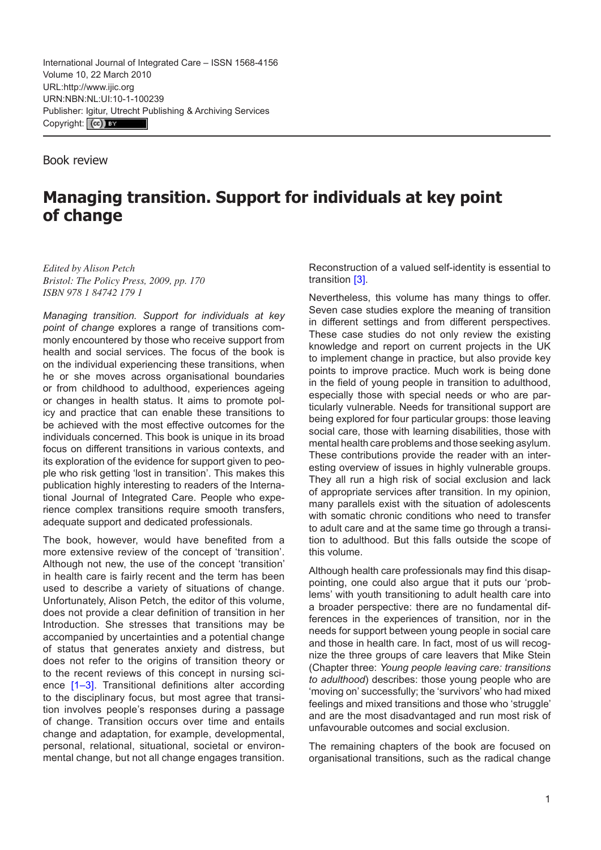International Journal of Integrated Care – ISSN 1568-4156 Volume 10, 22 March 2010 URL[:http://www.ijic.org](http://www.ijic.org) URN:NBN:NL:UI:10-1-100239 Publisher: [Igitur, Utrecht Pu](http://creativecommons.org/licenses/by/3.0/)blishing & Archiving Services Copyright: (cc) EX

Book review

## **Managing transition. Support for individuals at key point of change**

*Edited by Alison Petch Bristol: The Policy Press, 2009, pp. 170 ISBN 978 1 84742 179 1*

*Managing transition. Support for individuals at key point of change* explores a range of transitions commonly encountered by those who receive support from health and social services. The focus of the book is on the individual experiencing these transitions, when he or she moves across organisational boundaries or from childhood to adulthood, experiences ageing or changes in health status. It aims to promote policy and practice that can enable these transitions to be achieved with the most effective outcomes for the individuals concerned. This book is unique in its broad focus on different transitions in various contexts, and its exploration of the evidence for support given to people who risk getting 'lost in transition'. This makes this publication highly interesting to readers of the International Journal of Integrated Care. People who experience complex transitions require smooth transfers, adequate support and dedicated professionals.

The book, however, would have benefited from a more extensive review of the concept of 'transition'. Although not new, the use of the concept 'transition' in health care is fairly recent and the term has been used to describe a variety of situations of change. Unfortunately, Alison Petch, the editor of this volume, does not provide a clear definition of transition in her Introduction. She stresses that transitions may be accompanied by uncertainties and a potential change of status that generates anxiety and distress, but does not refer to the origins of transition theory or to the recent reviews of this concept in nursing science [\[1](#page-1-0)–[3](#page-1-0)]. Transitional definitions alter according to the disciplinary focus, but most agree that transition involves people's responses during a passage of change. Transition occurs over time and entails change and adaptation, for example, developmental, personal, relational, situational, societal or environmental change, but not all change engages transition.

Reconstruction of a valued self-identity is essential to transition [\[3](#page-1-0)].

Nevertheless, this volume has many things to offer. Seven case studies explore the meaning of transition in different settings and from different perspectives. These case studies do not only review the existing knowledge and report on current projects in the UK to implement change in practice, but also provide key points to improve practice. Much work is being done in the field of young people in transition to adulthood, especially those with special needs or who are particularly vulnerable. Needs for transitional support are being explored for four particular groups: those leaving social care, those with learning disabilities, those with mental health care problems and those seeking asylum. These contributions provide the reader with an interesting overview of issues in highly vulnerable groups. They all run a high risk of social exclusion and lack of appropriate services after transition. In my opinion, many parallels exist with the situation of adolescents with somatic chronic conditions who need to transfer to adult care and at the same time go through a transition to adulthood. But this falls outside the scope of this volume.

Although health care professionals may find this disappointing, one could also argue that it puts our 'problems' with youth transitioning to adult health care into a broader perspective: there are no fundamental differences in the experiences of transition, nor in the needs for support between young people in social care and those in health care. In fact, most of us will recognize the three groups of care leavers that Mike Stein (Chapter three: *Young people leaving care: transitions to adulthood*) describes: those young people who are 'moving on' successfully; the 'survivors' who had mixed feelings and mixed transitions and those who 'struggle' and are the most disadvantaged and run most risk of unfavourable outcomes and social exclusion.

The remaining chapters of the book are focused on organisational transitions, such as the radical change